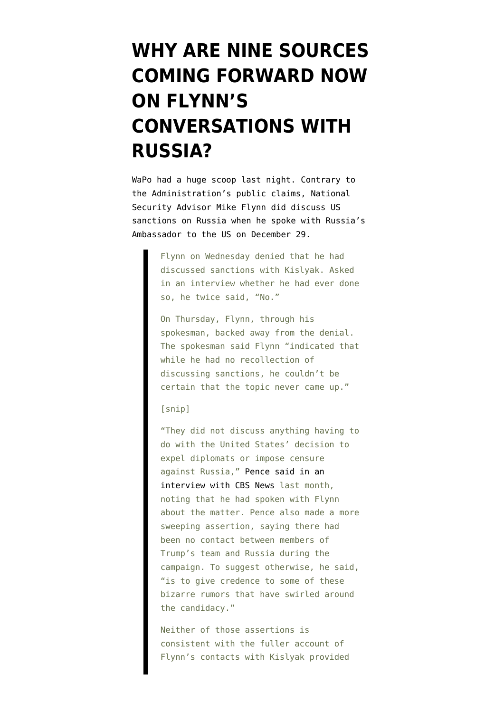## **[WHY ARE NINE SOURCES](https://www.emptywheel.net/2017/02/10/why-are-nine-sources-coming-forward-now-on-flynns-conversations-with-russia/) [COMING FORWARD NOW](https://www.emptywheel.net/2017/02/10/why-are-nine-sources-coming-forward-now-on-flynns-conversations-with-russia/) [ON FLYNN'S](https://www.emptywheel.net/2017/02/10/why-are-nine-sources-coming-forward-now-on-flynns-conversations-with-russia/) [CONVERSATIONS WITH](https://www.emptywheel.net/2017/02/10/why-are-nine-sources-coming-forward-now-on-flynns-conversations-with-russia/) [RUSSIA?](https://www.emptywheel.net/2017/02/10/why-are-nine-sources-coming-forward-now-on-flynns-conversations-with-russia/)**

WaPo had a [huge scoop](https://www.washingtonpost.com/world/national-security/national-security-adviser-flynn-discussed-sanctions-with-russian-ambassador-despite-denials-officials-say/2017/02/09/f85b29d6-ee11-11e6-b4ff-ac2cf509efe5_story.html?hpid=hp_hp-top-table-main_usrussia-:homepage/story&utm_term=.b7d4047cc5a0) last night. Contrary to the Administration's public claims, National Security Advisor Mike Flynn did discuss US sanctions on Russia when he spoke with Russia's Ambassador to the US on December 29.

> Flynn on Wednesday denied that he had discussed sanctions with Kislyak. Asked in an interview whether he had ever done so, he twice said, "No."

> On Thursday, Flynn, through his spokesman, backed away from the denial. The spokesman said Flynn "indicated that while he had no recollection of discussing sanctions, he couldn't be certain that the topic never came up."

## [snip]

"They did not discuss anything having to do with the United States' decision to expel diplomats or impose censure against Russia," [Pence said in an](http://www.cbsnews.com/news/face-the-nation-transcript-january-15-2017-pence-manchin-gingrich/) [interview with CBS News](http://www.cbsnews.com/news/face-the-nation-transcript-january-15-2017-pence-manchin-gingrich/) last month, noting that he had spoken with Flynn about the matter. Pence also made a more sweeping assertion, saying there had been no contact between members of Trump's team and Russia during the campaign. To suggest otherwise, he said, "is to give credence to some of these bizarre rumors that have swirled around the candidacy."

Neither of those assertions is consistent with the fuller account of Flynn's contacts with Kislyak provided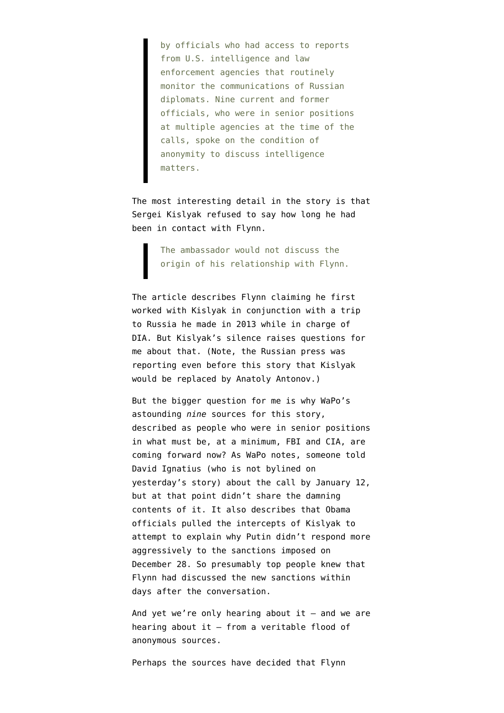by officials who had access to reports from U.S. intelligence and law enforcement agencies that routinely monitor the communications of Russian diplomats. Nine current and former officials, who were in senior positions at multiple agencies at the time of the calls, spoke on the condition of anonymity to discuss intelligence matters.

The most interesting detail in the story is that Sergei Kislyak refused to say how long he had been in contact with Flynn.

> The ambassador would not discuss the origin of his relationship with Flynn.

The article describes Flynn claiming he first worked with Kislyak in conjunction with a trip to Russia he made in 2013 while in charge of DIA. But Kislyak's silence raises questions for me about that. (Note, the Russian press was [reporting](https://themoscowtimes.com/news/deputy-foreign-minister-anatoly-antonov-named-as-top-kremlin-pick-for-ambassador-to-us-57046) even before this story that Kislyak would be replaced by Anatoly Antonov.)

But the bigger question for me is why WaPo's astounding *nine* sources for this story, described as people who were in senior positions in what must be, at a minimum, FBI and CIA, are coming forward now? As WaPo [notes,](https://www.washingtonpost.com/opinions/why-did-obama-dawdle-on-russias-hacking/2017/01/12/75f878a0-d90c-11e6-9a36-1d296534b31e_story.html?utm_term=.281a406457f4) someone told David Ignatius (who is not bylined on yesterday's story) about the call by January 12, but at that point didn't share the damning contents of it. It also describes that Obama officials pulled the intercepts of Kislyak to attempt to explain why Putin didn't respond more aggressively to the sanctions imposed on December 28. So presumably top people knew that Flynn had discussed the new sanctions within days after the conversation.

And yet we're only hearing about it  $-$  and we are hearing about it — from a veritable flood of anonymous sources.

Perhaps the sources have decided that Flynn